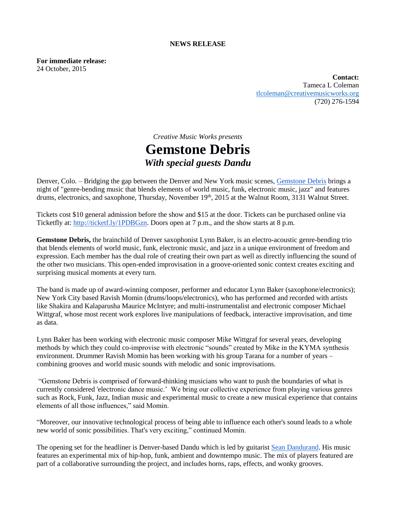#### **NEWS RELEASE**

**For immediate release:** 24 October, 2015

> **Contact:**  Tameca L Coleman [tlcoleman@creativemusicworks.org](mailto:tlcoleman@creativemusicworks.org) (720) 276-1594

# *Creative Music Works presents* **Gemstone Debris** *With special guests Dandu*

Denver, Colo. – Bridging the gap between the Denver and New York music scenes, [Gemstone Debris](https://gemstonedebris.wordpress.com/) brings a night of "genre-bending music that blends elements of world music, funk, electronic music, jazz" and features drums, electronics, and saxophone, Thursday, November 19<sup>th</sup>, 2015 at the Walnut Room, 3131 Walnut Street.

Tickets cost \$10 general admission before the show and \$15 at the door. Tickets can be purchased online via Ticketfly at: http://ticketf.ly/1PDBGzn. Doors open at 7 p.m., and the show starts at 8 p.m.

**Gemstone Debris,** the brainchild of Denver saxophonist Lynn Baker, is an electro-acoustic genre-bending trio that blends elements of world music, funk, electronic music, and jazz in a unique environment of freedom and expression. Each member has the dual role of creating their own part as well as directly influencing the sound of the other two musicians. This open-ended improvisation in a groove-oriented sonic context creates exciting and surprising musical moments at every turn.

The band is made up of award-winning composer, performer and educator Lynn Baker (saxophone/electronics); New York City based Ravish Momin (drums/loops/electronics), who has performed and recorded with artists like Shakira and Kalaparusha Maurice McIntyre; and multi-instrumentalist and electronic composer Michael Wittgraf, whose most recent work explores live manipulations of feedback, interactive improvisation, and time as data.

Lynn Baker has been working with electronic music composer Mike Wittgraf for several years, developing methods by which they could co-improvise with electronic "sounds" created by Mike in the KYMA synthesis environment. Drummer Ravish Momin has been working with his group Tarana for a number of years – combining grooves and world music sounds with melodic and sonic improvisations.

"Gemstone Debris is comprised of forward-thinking musicians who want to push the boundaries of what is currently considered 'electronic dance music.' We bring our collective experience from playing various genres such as Rock, Funk, Jazz, Indian music and experimental music to create a new musical experience that contains elements of all those influences," said Momin.

"Moreover, our innovative technological process of being able to influence each other's sound leads to a whole new world of sonic possibilities. That's very exciting," continued Momin.

The opening set for the headliner is Denver-based Dandu which is led by guitarist [Sean Dandurand.](https://www.seandandurand.com/) His music features an experimental mix of hip-hop, funk, ambient and downtempo music. The mix of players featured are part of a collaborative surrounding the project, and includes horns, raps, effects, and wonky grooves.